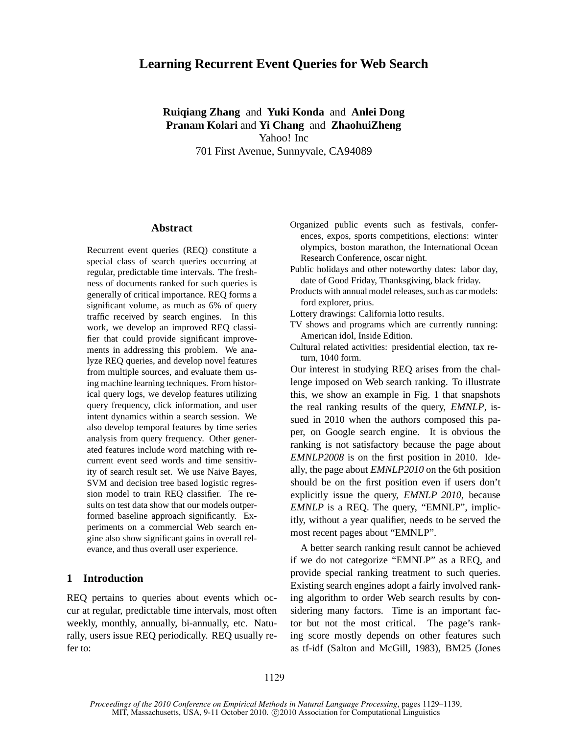# **Learning Recurrent Event Queries for Web Search**

**Ruiqiang Zhang** and **Yuki Konda** and **Anlei Dong Pranam Kolari** and **Yi Chang** and **ZhaohuiZheng** Yahoo! Inc

701 First Avenue, Sunnyvale, CA94089

### **Abstract**

Recurrent event queries (REQ) constitute a special class of search queries occurring at regular, predictable time intervals. The freshness of documents ranked for such queries is generally of critical importance. REQ forms a significant volume, as much as 6% of query traffic received by search engines. In this work, we develop an improved REQ classifier that could provide significant improvements in addressing this problem. We analyze REQ queries, and develop novel features from multiple sources, and evaluate them using machine learning techniques. From historical query logs, we develop features utilizing query frequency, click information, and user intent dynamics within a search session. We also develop temporal features by time series analysis from query frequency. Other generated features include word matching with recurrent event seed words and time sensitivity of search result set. We use Naive Bayes, SVM and decision tree based logistic regression model to train REQ classifier. The results on test data show that our models outperformed baseline approach significantly. Experiments on a commercial Web search engine also show significant gains in overall relevance, and thus overall user experience.

### **1 Introduction**

REQ pertains to queries about events which occur at regular, predictable time intervals, most often weekly, monthly, annually, bi-annually, etc. Naturally, users issue REQ periodically. REQ usually refer to:

- Organized public events such as festivals, conferences, expos, sports competitions, elections: winter olympics, boston marathon, the International Ocean Research Conference, oscar night.
- Public holidays and other noteworthy dates: labor day, date of Good Friday, Thanksgiving, black friday.
- Products with annual model releases, such as car models: ford explorer, prius.

Lottery drawings: California lotto results.

- TV shows and programs which are currently running: American idol, Inside Edition.
- Cultural related activities: presidential election, tax return, 1040 form.

Our interest in studying REQ arises from the challenge imposed on Web search ranking. To illustrate this, we show an example in Fig. 1 that snapshots the real ranking results of the query, *EMNLP*, issued in 2010 when the authors composed this paper, on Google search engine. It is obvious the ranking is not satisfactory because the page about *EMNLP2008* is on the first position in 2010. Ideally, the page about *EMNLP2010* on the 6th position should be on the first position even if users don't explicitly issue the query, *EMNLP 2010*, because *EMNLP* is a REQ. The query, "EMNLP", implicitly, without a year qualifier, needs to be served the most recent pages about "EMNLP".

A better search ranking result cannot be achieved if we do not categorize "EMNLP" as a REQ, and provide special ranking treatment to such queries. Existing search engines adopt a fairly involved ranking algorithm to order Web search results by considering many factors. Time is an important factor but not the most critical. The page's ranking score mostly depends on other features such as tf-idf (Salton and McGill, 1983), BM25 (Jones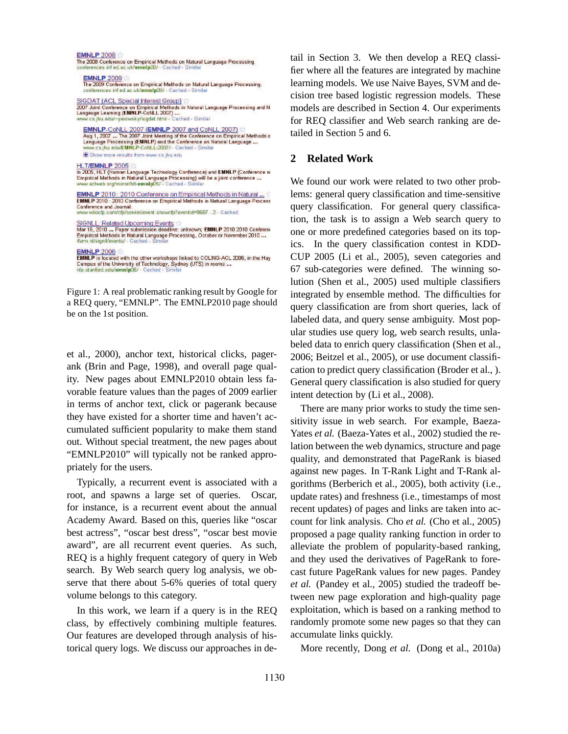| <b>EMNLP 2008</b><br>The 2008 Conference on Empirical Methods on Natural Language Processing.                                                                                                                                                                    | tail in Sectio      |
|------------------------------------------------------------------------------------------------------------------------------------------------------------------------------------------------------------------------------------------------------------------|---------------------|
| conferences.inf.ed.ac.uk/emnip08/ - Cached - Similar                                                                                                                                                                                                             | fier where all      |
| <b>EMNLP 2009</b><br>The 2009 Conference on Empirical Methods on Natural Language Processing.<br>conferences.inf.ed.ac.uk/emnlp09/ - Cached - Similar                                                                                                            | learning mod        |
| SIGDAT (ACL Special Interest Group)                                                                                                                                                                                                                              | cision tree ba      |
| 2007 Joint Conference on Empirical Methods in Natural Language Processing and N<br>Langauge Learning (EMNLP-CoNLL 2007)                                                                                                                                          | models are de       |
| www.cs.jhu.edu/~yarowsky/sigdat.html - Cached - Similar                                                                                                                                                                                                          | for REQ clas        |
| <b>EMNLP-CoNLL 2007 (EMNLP 2007 and CoNLL 2007)</b><br>Aug 1, 2007  The 2007 Joint Meeting of the Conference on Empirical Methods o<br>Language Processing (EMNLP) and the Conference on Natural Language<br>www.cs.jhu.edu/EMNLP-CoNLL-2007/ - Cached - Similar | tailed in Sect      |
| Show more results from www.cs.jhu.edu                                                                                                                                                                                                                            | <b>Related</b><br>2 |
| <b>HLT/EMNLP 2005</b><br>In 2005, HLT (Human Language Technology Conference) and EMNLP (Conference or<br>Empirical Methods in Natural Language Processing) will be a joint conference<br>www.aclweb.org/mirror/hlt-emnlp05/ - Cached - Similar                   | We found out        |
| <b>EMNLP</b> 2010: 2010 Conference on Empirical Methods in Natural                                                                                                                                                                                               | lems: general       |
| <b>EMNLP</b> 2010 : 2010 Conference on Empirical Methods in Natural Language Process<br>Conference and Journal                                                                                                                                                   | query classifi      |
| www.wikicfp.com/cfp/servlet/event.showcfp?eventid=96672 - Cached                                                                                                                                                                                                 | tion, the task      |
| SIGNLL: Related Upcoming Events                                                                                                                                                                                                                                  |                     |
| Mar 16, 2010  Paper submission deadline: unknown; EMNLP 2010 2010 Conferent<br>Empirical Methods in Natural Language Processing, October or November 2010                                                                                                        | one or more         |
| ifarm.nl/signIl/events/ - Cached - Similar                                                                                                                                                                                                                       | ics. In the         |
| EMNLP 2006                                                                                                                                                                                                                                                       |                     |
| EMNLP is located with the other workshops linked to COLING-ACL 2006, in the Hay<br>Campus of the University of Technology, Sydney (UTS) in rooms                                                                                                                 | CUP 2005 (1         |
| nlp.stanford.edu/emnlp06/ - Cached - Similar                                                                                                                                                                                                                     | 67 sub-catego       |

Figure 1: A real problematic ranking result by Google for a REQ query, "EMNLP". The EMNLP2010 page should be on the 1st position.

et al., 2000), anchor text, historical clicks, pagerank (Brin and Page, 1998), and overall page quality. New pages about EMNLP2010 obtain less favorable feature values than the pages of 2009 earlier in terms of anchor text, click or pagerank because they have existed for a shorter time and haven't accumulated sufficient popularity to make them stand out. Without special treatment, the new pages about "EMNLP2010" will typically not be ranked appropriately for the users.

Typically, a recurrent event is associated with a root, and spawns a large set of queries. Oscar, for instance, is a recurrent event about the annual Academy Award. Based on this, queries like "oscar best actress", "oscar best dress", "oscar best movie award", are all recurrent event queries. As such, REQ is a highly frequent category of query in Web search. By Web search query log analysis, we observe that there about 5-6% queries of total query volume belongs to this category.

In this work, we learn if a query is in the REQ class, by effectively combining multiple features. Our features are developed through analysis of historical query logs. We discuss our approaches in de-

n 3. We then develop a REQ classithe features are integrated by machine lels. We use Naive Bayes, SVM and deased logistic regression models. These escribed in Section 4. Our experiments sifier and Web search ranking are de- $\frac{1}{2}$  ion 5 and 6.

# **Work**

r work were related to two other probquery classification and time-sensitive ication. For general query classificak is to assign a Web search query to predefined categories based on its topquery classification contest in KDD-Li et al., 2005), seven categories and egories were defined. The winning solution (Shen et al., 2005) used multiple classifiers integrated by ensemble method. The difficulties for query classification are from short queries, lack of labeled data, and query sense ambiguity. Most popular studies use query log, web search results, unlabeled data to enrich query classification (Shen et al., 2006; Beitzel et al., 2005), or use document classification to predict query classification (Broder et al., ). General query classification is also studied for query intent detection by (Li et al., 2008).

There are many prior works to study the time sensitivity issue in web search. For example, Baeza-Yates *et al.* (Baeza-Yates et al., 2002) studied the relation between the web dynamics, structure and page quality, and demonstrated that PageRank is biased against new pages. In T-Rank Light and T-Rank algorithms (Berberich et al., 2005), both activity (i.e., update rates) and freshness (i.e., timestamps of most recent updates) of pages and links are taken into account for link analysis. Cho *et al.* (Cho et al., 2005) proposed a page quality ranking function in order to alleviate the problem of popularity-based ranking, and they used the derivatives of PageRank to forecast future PageRank values for new pages. Pandey *et al.* (Pandey et al., 2005) studied the tradeoff between new page exploration and high-quality page exploitation, which is based on a ranking method to randomly promote some new pages so that they can accumulate links quickly.

More recently, Dong *et al.* (Dong et al., 2010a)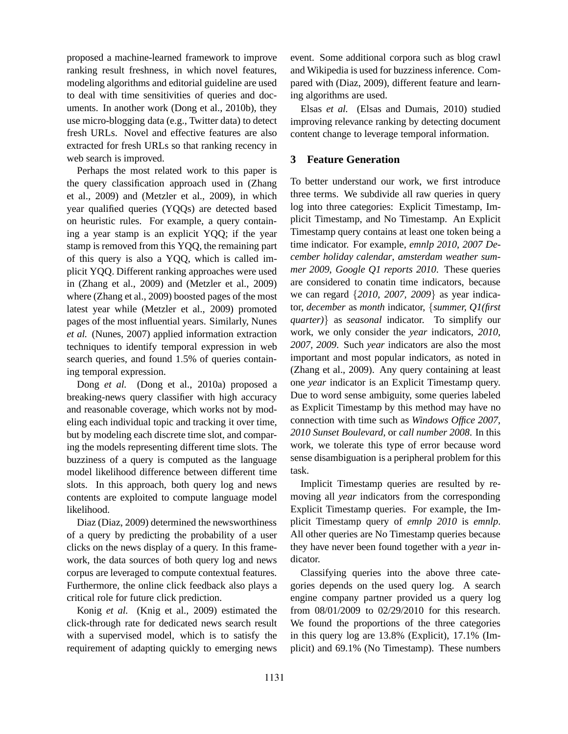proposed a machine-learned framework to improve ranking result freshness, in which novel features, modeling algorithms and editorial guideline are used to deal with time sensitivities of queries and documents. In another work (Dong et al., 2010b), they use micro-blogging data (e.g., Twitter data) to detect fresh URLs. Novel and effective features are also extracted for fresh URLs so that ranking recency in web search is improved.

Perhaps the most related work to this paper is the query classification approach used in (Zhang et al., 2009) and (Metzler et al., 2009), in which year qualified queries (YQQs) are detected based on heuristic rules. For example, a query containing a year stamp is an explicit YQQ; if the year stamp is removed from this YQQ, the remaining part of this query is also a YQQ, which is called implicit YQQ. Different ranking approaches were used in (Zhang et al., 2009) and (Metzler et al., 2009) where (Zhang et al., 2009) boosted pages of the most latest year while (Metzler et al., 2009) promoted pages of the most influential years. Similarly, Nunes *et al.* (Nunes, 2007) applied information extraction techniques to identify temporal expression in web search queries, and found 1.5% of queries containing temporal expression.

Dong *et al.* (Dong et al., 2010a) proposed a breaking-news query classifier with high accuracy and reasonable coverage, which works not by modeling each individual topic and tracking it over time, but by modeling each discrete time slot, and comparing the models representing different time slots. The buzziness of a query is computed as the language model likelihood difference between different time slots. In this approach, both query log and news contents are exploited to compute language model likelihood.

Diaz (Diaz, 2009) determined the newsworthiness of a query by predicting the probability of a user clicks on the news display of a query. In this framework, the data sources of both query log and news corpus are leveraged to compute contextual features. Furthermore, the online click feedback also plays a critical role for future click prediction.

Konig *et al.* (Knig et al., 2009) estimated the click-through rate for dedicated news search result with a supervised model, which is to satisfy the requirement of adapting quickly to emerging news event. Some additional corpora such as blog crawl and Wikipedia is used for buzziness inference. Compared with (Diaz, 2009), different feature and learning algorithms are used.

Elsas *et al.* (Elsas and Dumais, 2010) studied improving relevance ranking by detecting document content change to leverage temporal information.

# **3 Feature Generation**

To better understand our work, we first introduce three terms. We subdivide all raw queries in query log into three categories: Explicit Timestamp, Implicit Timestamp, and No Timestamp. An Explicit Timestamp query contains at least one token being a time indicator. For example, *emnlp 2010*, *2007 December holiday calendar*, *amsterdam weather summer 2009*, *Google Q1 reports 2010*. These queries are considered to conatin time indicators, because we can regard {*2010, 2007, 2009*} as year indicator, *december* as *month* indicator, {*summer, Q1(first quarter)*} as *seasonal* indicator. To simplify our work, we only consider the *year* indicators, *2010, 2007, 2009*. Such *year* indicators are also the most important and most popular indicators, as noted in (Zhang et al., 2009). Any query containing at least one *year* indicator is an Explicit Timestamp query. Due to word sense ambiguity, some queries labeled as Explicit Timestamp by this method may have no connection with time such as *Windows Office 2007*, *2010 Sunset Boulevard*, or *call number 2008*. In this work, we tolerate this type of error because word sense disambiguation is a peripheral problem for this task.

Implicit Timestamp queries are resulted by removing all *year* indicators from the corresponding Explicit Timestamp queries. For example, the Implicit Timestamp query of *emnlp 2010* is *emnlp*. All other queries are No Timestamp queries because they have never been found together with a *year* indicator.

Classifying queries into the above three categories depends on the used query log. A search engine company partner provided us a query log from 08/01/2009 to 02/29/2010 for this research. We found the proportions of the three categories in this query log are 13.8% (Explicit), 17.1% (Implicit) and 69.1% (No Timestamp). These numbers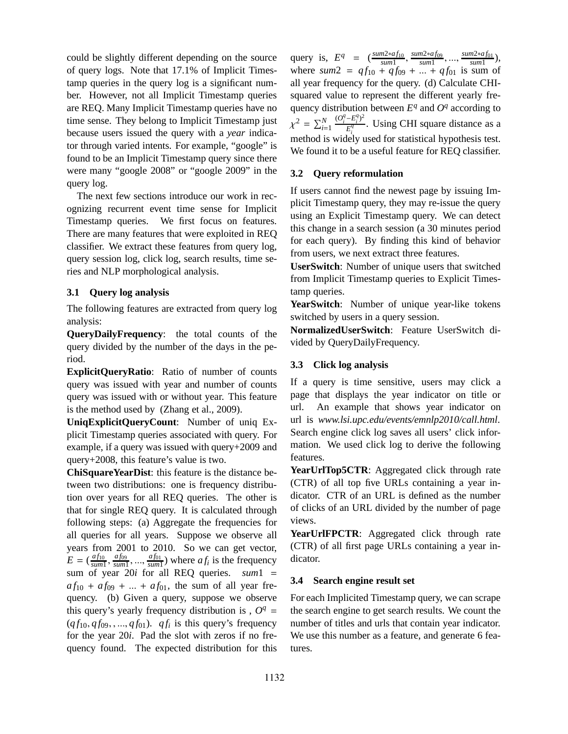could be slightly different depending on the source of query logs. Note that 17.1% of Implicit Timestamp queries in the query log is a significant number. However, not all Implicit Timestamp queries are REQ. Many Implicit Timestamp queries have no time sense. They belong to Implicit Timestamp just because users issued the query with a *year* indicator through varied intents. For example, "google" is found to be an Implicit Timestamp query since there were many "google 2008" or "google 2009" in the query log.

The next few sections introduce our work in recognizing recurrent event time sense for Implicit Timestamp queries. We first focus on features. There are many features that were exploited in REQ classifier. We extract these features from query log, query session log, click log, search results, time series and NLP morphological analysis.

# **3.1 Query log analysis**

The following features are extracted from query log analysis:

**QueryDailyFrequency**: the total counts of the query divided by the number of the days in the period.

**ExplicitQueryRatio**: Ratio of number of counts query was issued with year and number of counts query was issued with or without year. This feature is the method used by (Zhang et al., 2009).

**UniqExplicitQueryCount**: Number of uniq Explicit Timestamp queries associated with query. For example, if a query was issued with query+2009 and query+2008, this feature's value is two.

**ChiSquareYearDist**: this feature is the distance between two distributions: one is frequency distribution over years for all REQ queries. The other is that for single REQ query. It is calculated through following steps: (a) Aggregate the frequencies for all queries for all years. Suppose we observe all years from 2001 to 2010. So we can get vector,  $E = \left(\frac{af_{10}}{sum}\right)$ *af*<sub>10</sub>, *af*<sub>09</sub><br>*sum*<sub>1</sub>, *sum*<sub>1</sub> *af*<sub>09</sub>, ..., *af*<sub>01</sub> *sum*<sup>1</sup>  $\frac{a_{j_{01}}}{s_{t}}$ ) where  $af_i$  is the frequency sum of year 20*i* for all REQ queries. *sum*1 =  $af_{10} + af_{09} + ... + af_{01}$ , the sum of all year frequency. (b) Given a query, suppose we observe this query's yearly frequency distribution is,  $O<sup>q</sup>$  =  $(qf_10, qf_09, \ldots, qf_{01})$ .  $qf_i$  is this query's frequency for the year 20*i*. Pad the slot with zeros if no frequency found. The expected distribution for this

query is,  $E^q = \left(\frac{sum2 * af_{10}}{sum\right] }$ *n*2∗*af*<sub>10</sub>, *sum*2∗*af*<sub>09</sub><br>*sum*1 *n*2∗*a* f<sub>09</sub>, ..., *sum*2∗*a* f<sub>01</sub> *sum*1 *sum*1 ), where *sum*2 =  $q f_{10} + q f_{09} + ... + q f_{01}$  is sum of all year frequency for the query. (d) Calculate CHIsquared value to represent the different yearly frequency distribution between  $E^q$  and  $O^q$  according to  $\chi^2 = \sum_{i=1}^N$  $(O_i^q - E_i^q)^2$  $\frac{-E_i}{E_i^q}$ . Using CHI square distance as a method is widely used for statistical hypothesis test. We found it to be a useful feature for REO classifier.

# **3.2 Query reformulation**

If users cannot find the newest page by issuing Implicit Timestamp query, they may re-issue the query using an Explicit Timestamp query. We can detect this change in a search session (a 30 minutes period for each query). By finding this kind of behavior from users, we next extract three features.

**UserSwitch**: Number of unique users that switched from Implicit Timestamp queries to Explicit Timestamp queries.

**YearSwitch**: Number of unique year-like tokens switched by users in a query session.

**NormalizedUserSwitch**: Feature UserSwitch divided by QueryDailyFrequency.

## **3.3 Click log analysis**

If a query is time sensitive, users may click a page that displays the year indicator on title or url. An example that shows year indicator on url is *www.lsi.upc.edu/events/emnlp2010/call.html*. Search engine click log saves all users' click information. We used click log to derive the following features.

YearUrlTop5CTR: Aggregated click through rate (CTR) of all top five URLs containing a year indicator. CTR of an URL is defined as the number of clicks of an URL divided by the number of page views.

YearUrlFPCTR: Aggregated click through rate (CTR) of all first page URLs containing a year indicator.

# **3.4 Search engine result set**

For each Implicited Timestamp query, we can scrape the search engine to get search results. We count the number of titles and urls that contain year indicator. We use this number as a feature, and generate 6 features.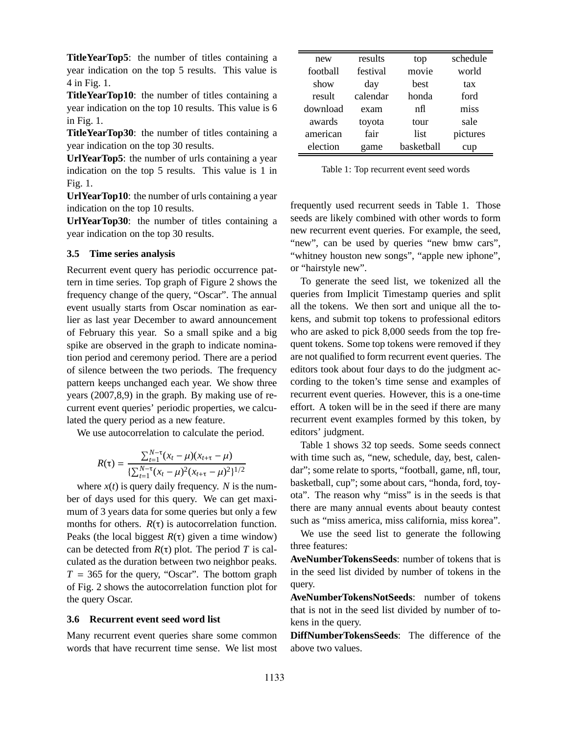**TitleYearTop5**: the number of titles containing a year indication on the top 5 results. This value is 4 in Fig. 1.

**TitleYearTop10**: the number of titles containing a year indication on the top 10 results. This value is 6 in Fig. 1.

**TitleYearTop30**: the number of titles containing a year indication on the top 30 results.

**UrlYearTop5**: the number of urls containing a year indication on the top 5 results. This value is 1 in Fig. 1.

**UrlYearTop10**: the number of urls containing a year indication on the top 10 results.

**UrlYearTop30**: the number of titles containing a year indication on the top 30 results.

#### **3.5 Time series analysis**

Recurrent event query has periodic occurrence pattern in time series. Top graph of Figure 2 shows the frequency change of the query, "Oscar". The annual event usually starts from Oscar nomination as earlier as last year December to award announcement of February this year. So a small spike and a big spike are observed in the graph to indicate nomination period and ceremony period. There are a period of silence between the two periods. The frequency pattern keeps unchanged each year. We show three years (2007,8,9) in the graph. By making use of recurrent event queries' periodic properties, we calculated the query period as a new feature.

We use autocorrelation to calculate the period.

$$
R(\tau) = \frac{\sum_{t=1}^{N-\tau} (x_t - \mu)(x_{t+\tau} - \mu)}{\{\sum_{t=1}^{N-\tau} (x_t - \mu)^2 (x_{t+\tau} - \mu)^2\}^{1/2}}
$$

where  $x(t)$  is query daily frequency. *N* is the number of days used for this query. We can get maximum of 3 years data for some queries but only a few months for others.  $R(\tau)$  is autocorrelation function. Peaks (the local biggest  $R(\tau)$  given a time window) can be detected from  $R(\tau)$  plot. The period *T* is calculated as the duration between two neighbor peaks.  $T = 365$  for the query, "Oscar". The bottom graph of Fig. 2 shows the autocorrelation function plot for the query Oscar.

#### **3.6 Recurrent event seed word list**

Many recurrent event queries share some common words that have recurrent time sense. We list most

| new      | results     | top        | schedule |  |
|----------|-------------|------------|----------|--|
| football | festival    | movie      | world    |  |
| show     | hest<br>day |            | tax      |  |
| result   | calendar    | honda      | ford     |  |
| download | exam        | nfl        | miss     |  |
| awards   | toyota      | tour       | sale     |  |
| american | fair        | list       | pictures |  |
| election | game        | basketball | cup      |  |

Table 1: Top recurrent event seed words

frequently used recurrent seeds in Table 1. Those seeds are likely combined with other words to form new recurrent event queries. For example, the seed, "new", can be used by queries "new bmw cars", "whitney houston new songs", "apple new iphone", or "hairstyle new".

To generate the seed list, we tokenized all the queries from Implicit Timestamp queries and split all the tokens. We then sort and unique all the tokens, and submit top tokens to professional editors who are asked to pick 8,000 seeds from the top frequent tokens. Some top tokens were removed if they are not qualified to form recurrent event queries. The editors took about four days to do the judgment according to the token's time sense and examples of recurrent event queries. However, this is a one-time effort. A token will be in the seed if there are many recurrent event examples formed by this token, by editors' judgment.

Table 1 shows 32 top seeds. Some seeds connect with time such as, "new, schedule, day, best, calendar"; some relate to sports, "football, game, nfl, tour, basketball, cup"; some about cars, "honda, ford, toyota". The reason why "miss" is in the seeds is that there are many annual events about beauty contest such as "miss america, miss california, miss korea".

We use the seed list to generate the following three features:

**AveNumberTokensSeeds**: number of tokens that is in the seed list divided by number of tokens in the query.

**AveNumberTokensNotSeeds**: number of tokens that is not in the seed list divided by number of tokens in the query.

**DiffNumberTokensSeeds**: The difference of the above two values.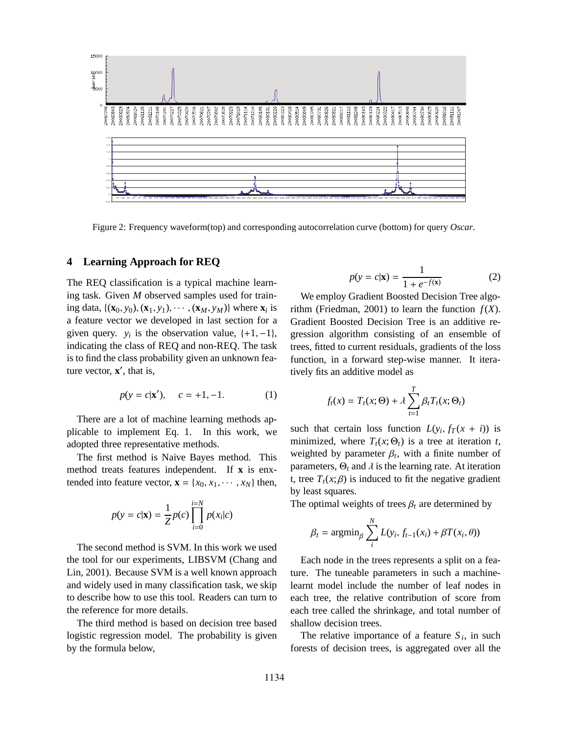

Figure 2: Frequency waveform(top) and corresponding autocorrelation curve (bottom) for query *Oscar*.

#### **4 Learning Approach for REQ**

The REQ classification is a typical machine learning task. Given *M* observed samples used for training data, {(**x**<sub>0</sub>, *y*<sub>0</sub>), (**x**<sub>1</sub>, *y*<sub>1</sub>), · · · · , (**x**<sub>*M*</sub>, *y*<sub>*M*</sub>)} where **x**<sub>*i*</sub> is a feature vector we developed in last section for a given query.  $y_i$  is the observation value,  $\{+1, -1\}$ , indicating the class of REQ and non-REQ. The task is to find the class probability given an unknown feature vector,  $\mathbf{x}'$ , that is,

$$
p(y = c|\mathbf{x}'), \quad c = +1, -1.
$$
 (1)

There are a lot of machine learning methods applicable to implement Eq. 1. In this work, we adopted three representative methods.

The first method is Naive Bayes method. This method treats features independent. If **x** is enxtended into feature vector,  $\mathbf{x} = \{x_0, x_1, \dots, x_N\}$  then,

$$
p(y = c|\mathbf{x}) = \frac{1}{Z}p(c)\prod_{i=0}^{i=N}p(x_i|c)
$$

The second method is SVM. In this work we used the tool for our experiments, LIBSVM (Chang and Lin, 2001). Because SVM is a well known approach and widely used in many classification task, we skip to describe how to use this tool. Readers can turn to the reference for more details.

The third method is based on decision tree based logistic regression model. The probability is given by the formula below,

$$
p(y = c|\mathbf{x}) = \frac{1}{1 + e^{-f(\mathbf{x})}}
$$
 (2)

We employ Gradient Boosted Decision Tree algorithm (Friedman, 2001) to learn the function  $f(X)$ . Gradient Boosted Decision Tree is an additive regression algorithm consisting of an ensemble of trees, fitted to current residuals, gradients of the loss function, in a forward step-wise manner. It iteratively fits an additive model as

$$
f_t(x) = T_t(x; \Theta) + \lambda \sum_{t=1}^T \beta_t T_t(x; \Theta_t)
$$

such that certain loss function  $L(y_i, f_T(x + i))$  is minimized, where  $T_t(x; \Theta_t)$  is a tree at iteration *t*, weighted by parameter  $\beta_t$ , with a finite number of parameters,  $\Theta_t$  and  $\lambda$  is the learning rate. At iteration t, tree  $T_t(x;\beta)$  is induced to fit the negative gradient by least squares.

The optimal weights of trees  $\beta_t$  are determined by

$$
\beta_t = \operatorname{argmin}_{\beta} \sum_{i}^{N} L(y_i, f_{t-1}(x_i) + \beta T(x_i, \theta))
$$

Each node in the trees represents a split on a feature. The tuneable parameters in such a machinelearnt model include the number of leaf nodes in each tree, the relative contribution of score from each tree called the shrinkage, and total number of shallow decision trees.

The relative importance of a feature  $S_i$ , in such forests of decision trees, is aggregated over all the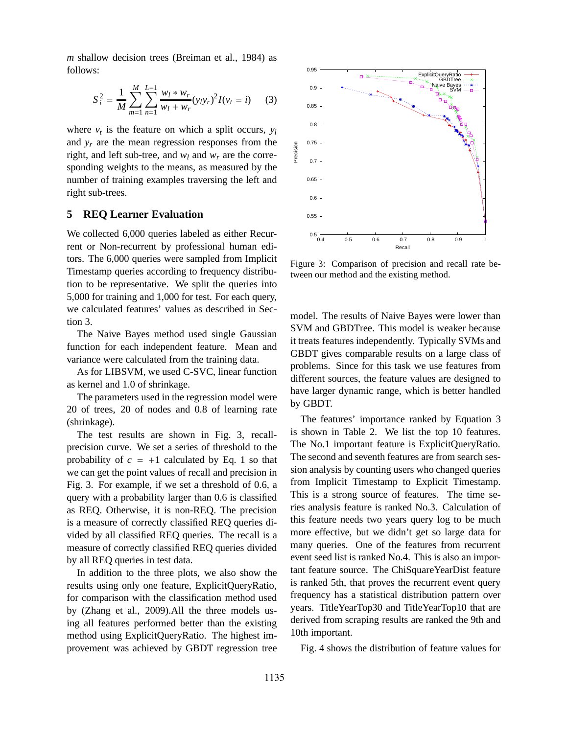*m* shallow decision trees (Breiman et al., 1984) as follows:

$$
S_i^2 = \frac{1}{M} \sum_{m=1}^{M} \sum_{n=1}^{L-1} \frac{w_l * w_r}{w_l + w_r} (y_l y_r)^2 I(v_t = i)
$$
 (3)

where  $v_t$  is the feature on which a split occurs,  $y_l$ and  $y_r$  are the mean regression responses from the right, and left sub-tree, and  $w_l$  and  $w_r$  are the corresponding weights to the means, as measured by the number of training examples traversing the left and right sub-trees.

### **5 REQ Learner Evaluation**

We collected 6,000 queries labeled as either Recurrent or Non-recurrent by professional human editors. The 6,000 queries were sampled from Implicit Timestamp queries according to frequency distribution to be representative. We split the queries into 5,000 for training and 1,000 for test. For each query, we calculated features' values as described in Section 3.

The Naive Bayes method used single Gaussian function for each independent feature. Mean and variance were calculated from the training data.

As for LIBSVM, we used C-SVC, linear function as kernel and 1.0 of shrinkage.

The parameters used in the regression model were 20 of trees, 20 of nodes and 0.8 of learning rate (shrinkage).

The test results are shown in Fig. 3, recallprecision curve. We set a series of threshold to the probability of  $c = +1$  calculated by Eq. 1 so that we can get the point values of recall and precision in Fig. 3. For example, if we set a threshold of 0.6, a query with a probability larger than 0.6 is classified as REQ. Otherwise, it is non-REQ. The precision is a measure of correctly classified REQ queries divided by all classified REQ queries. The recall is a measure of correctly classified REQ queries divided by all REQ queries in test data.

In addition to the three plots, we also show the results using only one feature, ExplicitQueryRatio, for comparison with the classification method used by (Zhang et al., 2009).All the three models using all features performed better than the existing method using ExplicitQueryRatio. The highest improvement was achieved by GBDT regression tree



Figure 3: Comparison of precision and recall rate between our method and the existing method.

model. The results of Naive Bayes were lower than SVM and GBDTree. This model is weaker because it treats features independently. Typically SVMs and GBDT gives comparable results on a large class of problems. Since for this task we use features from different sources, the feature values are designed to have larger dynamic range, which is better handled by GBDT.

The features' importance ranked by Equation 3 is shown in Table 2. We list the top 10 features. The No.1 important feature is ExplicitQueryRatio. The second and seventh features are from search session analysis by counting users who changed queries from Implicit Timestamp to Explicit Timestamp. This is a strong source of features. The time series analysis feature is ranked No.3. Calculation of this feature needs two years query log to be much more effective, but we didn't get so large data for many queries. One of the features from recurrent event seed list is ranked No.4. This is also an important feature source. The ChiSquareYearDist feature is ranked 5th, that proves the recurrent event query frequency has a statistical distribution pattern over years. TitleYearTop30 and TitleYearTop10 that are derived from scraping results are ranked the 9th and 10th important.

Fig. 4 shows the distribution of feature values for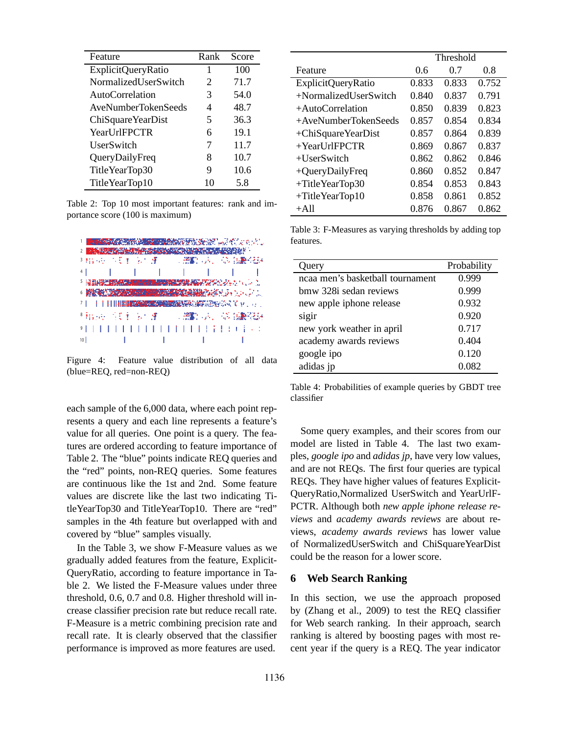| Feature              | Rank | Score |
|----------------------|------|-------|
| ExplicitQueryRatio   | 1    | 100   |
| NormalizedUserSwitch | 2    | 71.7  |
| AutoCorrelation      | 3    | 54.0  |
| AveNumberTokenSeeds  | 4    | 48.7  |
| ChiSquareYearDist    | 5    | 36.3  |
| <b>YearUrlFPCTR</b>  | 6    | 19.1  |
| UserSwitch           | 7    | 11.7  |
| QueryDailyFreq       | 8    | 10.7  |
| TitleYearTop30       | 9    | 10.6  |
| Title YearTop10      | 10   | 5.8   |

Table 2: Top 10 most important features: rank and importance score (100 is maximum)



Figure 4: Feature value distribution of all data (blue=REQ, red=non-REQ)

each sample of the 6,000 data, where each point represents a query and each line represents a feature's value for all queries. One point is a query. The features are ordered according to feature importance of Table 2. The "blue" points indicate REQ queries and the "red" points, non-REQ queries. Some features are continuous like the 1st and 2nd. Some feature values are discrete like the last two indicating TitleYearTop30 and TitleYearTop10. There are "red" samples in the 4th feature but overlapped with and covered by "blue" samples visually.

In the Table 3, we show F-Measure values as we gradually added features from the feature, Explicit-QueryRatio, according to feature importance in Table 2. We listed the F-Measure values under three threshold, 0.6, 0.7 and 0.8. Higher threshold will increase classifier precision rate but reduce recall rate. F-Measure is a metric combining precision rate and recall rate. It is clearly observed that the classifier performance is improved as more features are used.

|                        | <b>Threshold</b> |       |       |  |
|------------------------|------------------|-------|-------|--|
| Feature                | 0.6              | 07    | 0.8   |  |
| ExplicitQueryRatio     | 0.833            | 0.833 | 0.752 |  |
| +NormalizedUserSwitch  | 0.840            | 0.837 | 0.791 |  |
| $+AutoCorrelation$     | 0.850            | 0.839 | 0.823 |  |
| $+AveNumberTokenSeeds$ | 0.857            | 0.854 | 0.834 |  |
| $+ChiSquareYearDist$   | 0.857            | 0.864 | 0.839 |  |
| $+YearUrIFPCTR$        | 0.869            | 0.867 | 0.837 |  |
| +UserSwitch            | 0.862            | 0.862 | 0.846 |  |
| $+$ QueryDailyFreq     | 0.860            | 0.852 | 0.847 |  |
| +TitleYearTop30        | 0.854            | 0.853 | 0.843 |  |
| $+T$ itleYearTop10     | 0.858            | 0.861 | 0.852 |  |
| $+A11$                 | 0.876            | 0.867 | 0.862 |  |

Table 3: F-Measures as varying thresholds by adding top features.

| Query                            | Probability |
|----------------------------------|-------------|
| ncaa men's basketball tournament | 0.999       |
| bmw 328i sedan reviews           | 0.999       |
| new apple iphone release         | 0.932       |
| sigir                            | 0.920       |
| new york weather in april        | 0.717       |
| academy awards reviews           | 0.404       |
| google ipo                       | 0.120       |
| adidas jp                        | 0.082       |

Table 4: Probabilities of example queries by GBDT tree classifier

Some query examples, and their scores from our model are listed in Table 4. The last two examples, *google ipo* and *adidas jp*, have very low values, and are not REQs. The first four queries are typical REQs. They have higher values of features Explicit-QueryRatio,Normalized UserSwitch and YearUrlF-PCTR. Although both *new apple iphone release reviews* and *academy awards reviews* are about reviews, *academy awards reviews* has lower value of NormalizedUserSwitch and ChiSquareYearDist could be the reason for a lower score.

#### **6 Web Search Ranking**

In this section, we use the approach proposed by (Zhang et al., 2009) to test the REQ classifier for Web search ranking. In their approach, search ranking is altered by boosting pages with most recent year if the query is a REQ. The year indicator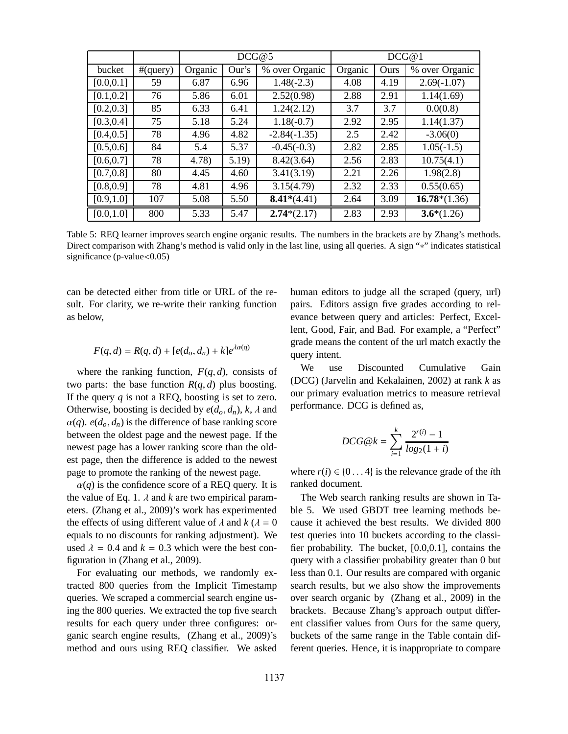|            |          | DCG@5   |       | DCG@1          |         |      |                |
|------------|----------|---------|-------|----------------|---------|------|----------------|
| bucket     | #(query) | Organic | Our's | % over Organic | Organic | Ours | % over Organic |
| [0.0, 0.1] | 59       | 6.87    | 6.96  | $1.48(-2.3)$   | 4.08    | 4.19 | $2.69(-1.07)$  |
| [0.1, 0.2] | 76       | 5.86    | 6.01  | 2.52(0.98)     | 2.88    | 2.91 | 1.14(1.69)     |
| [0.2, 0.3] | 85       | 6.33    | 6.41  | 1.24(2.12)     | 3.7     | 3.7  | 0.0(0.8)       |
| [0.3, 0.4] | 75       | 5.18    | 5.24  | $1.18(-0.7)$   | 2.92    | 2.95 | 1.14(1.37)     |
| [0.4, 0.5] | 78       | 4.96    | 4.82  | $-2.84(-1.35)$ | 2.5     | 2.42 | $-3.06(0)$     |
| [0.5, 0.6] | 84       | 5.4     | 5.37  | $-0.45(-0.3)$  | 2.82    | 2.85 | $1.05(-1.5)$   |
| [0.6, 0.7] | 78       | 4.78)   | 5.19  | 8.42(3.64)     | 2.56    | 2.83 | 10.75(4.1)     |
| [0.7, 0.8] | 80       | 4.45    | 4.60  | 3.41(3.19)     | 2.21    | 2.26 | 1.98(2.8)      |
| [0.8, 0.9] | 78       | 4.81    | 4.96  | 3.15(4.79)     | 2.32    | 2.33 | 0.55(0.65)     |
| [0.9, 1.0] | 107      | 5.08    | 5.50  | $8.41*(4.41)$  | 2.64    | 3.09 | $16.78*(1.36)$ |
| [0.0, 1.0] | 800      | 5.33    | 5.47  | $2.74*(2.17)$  | 2.83    | 2.93 | $3.6*(1.26)$   |

Table 5: REQ learner improves search engine organic results. The numbers in the brackets are by Zhang's methods. Direct comparison with Zhang's method is valid only in the last line, using all queries. A sign "∗" indicates statistical significance ( $p$ -value $<0.05$ )

can be detected either from title or URL of the result. For clarity, we re-write their ranking function as below,

$$
F(q, d) = R(q, d) + [e(d_o, d_n) + k]e^{\lambda \alpha(q)}
$$

where the ranking function,  $F(q, d)$ , consists of two parts: the base function  $R(q, d)$  plus boosting. If the query  $q$  is not a REQ, boosting is set to zero. Otherwise, boosting is decided by  $e(d_o, d_n)$ ,  $k$ ,  $\lambda$  and  $\alpha(q)$ .  $e(d_o, d_n)$  is the difference of base ranking score between the oldest page and the newest page. If the newest page has a lower ranking score than the oldest page, then the difference is added to the newest page to promote the ranking of the newest page.

 $\alpha(q)$  is the confidence score of a REQ query. It is the value of Eq. 1.  $\lambda$  and  $k$  are two empirical parameters. (Zhang et al., 2009)'s work has experimented the effects of using different value of  $\lambda$  and  $k$  ( $\lambda = 0$ equals to no discounts for ranking adjustment). We used  $\lambda = 0.4$  and  $k = 0.3$  which were the best configuration in (Zhang et al., 2009).

For evaluating our methods, we randomly extracted 800 queries from the Implicit Timestamp queries. We scraped a commercial search engine using the 800 queries. We extracted the top five search results for each query under three configures: organic search engine results, (Zhang et al., 2009)'s method and ours using REQ classifier. We asked

human editors to judge all the scraped (query, url) pairs. Editors assign five grades according to relevance between query and articles: Perfect, Excellent, Good, Fair, and Bad. For example, a "Perfect" grade means the content of the url match exactly the query intent.

We use Discounted Cumulative Gain (DCG) (Jarvelin and Kekalainen, 2002) at rank *k* as our primary evaluation metrics to measure retrieval performance. DCG is defined as,

$$
DCG@k = \sum_{i=1}^{k} \frac{2^{r(i)} - 1}{log_2(1+i)}
$$

where  $r(i) \in \{0, 1, 4\}$  is the relevance grade of the *i*th ranked document.

The Web search ranking results are shown in Table 5. We used GBDT tree learning methods because it achieved the best results. We divided 800 test queries into 10 buckets according to the classifier probability. The bucket, [0.0,0.1], contains the query with a classifier probability greater than 0 but less than 0.1. Our results are compared with organic search results, but we also show the improvements over search organic by (Zhang et al., 2009) in the brackets. Because Zhang's approach output different classifier values from Ours for the same query, buckets of the same range in the Table contain different queries. Hence, it is inappropriate to compare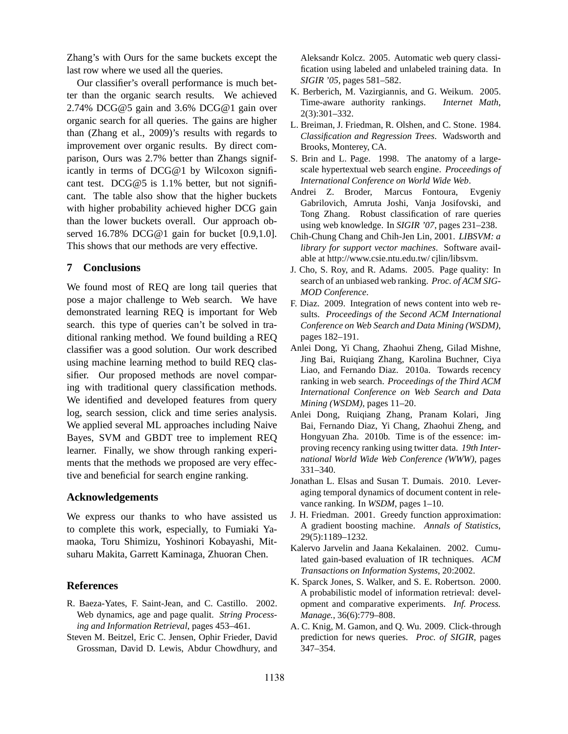Zhang's with Ours for the same buckets except the last row where we used all the queries.

Our classifier's overall performance is much better than the organic search results. We achieved 2.74% DCG@5 gain and 3.6% DCG@1 gain over organic search for all queries. The gains are higher than (Zhang et al., 2009)'s results with regards to improvement over organic results. By direct comparison, Ours was 2.7% better than Zhangs significantly in terms of DCG@1 by Wilcoxon significant test. DCG@5 is 1.1% better, but not significant. The table also show that the higher buckets with higher probability achieved higher DCG gain than the lower buckets overall. Our approach observed 16.78% DCG@1 gain for bucket [0.9,1.0]. This shows that our methods are very effective.

### **7 Conclusions**

We found most of REQ are long tail queries that pose a major challenge to Web search. We have demonstrated learning REQ is important for Web search. this type of queries can't be solved in traditional ranking method. We found building a REQ classifier was a good solution. Our work described using machine learning method to build REQ classifier. Our proposed methods are novel comparing with traditional query classification methods. We identified and developed features from query log, search session, click and time series analysis. We applied several ML approaches including Naive Bayes, SVM and GBDT tree to implement REQ learner. Finally, we show through ranking experiments that the methods we proposed are very effective and beneficial for search engine ranking.

#### **Acknowledgements**

We express our thanks to who have assisted us to complete this work, especially, to Fumiaki Yamaoka, Toru Shimizu, Yoshinori Kobayashi, Mitsuharu Makita, Garrett Kaminaga, Zhuoran Chen.

### **References**

- R. Baeza-Yates, F. Saint-Jean, and C. Castillo. 2002. Web dynamics, age and page qualit. *String Processing and Information Retrieval*, pages 453–461.
- Steven M. Beitzel, Eric C. Jensen, Ophir Frieder, David Grossman, David D. Lewis, Abdur Chowdhury, and

Aleksandr Kolcz. 2005. Automatic web query classification using labeled and unlabeled training data. In *SIGIR '05*, pages 581–582.

- K. Berberich, M. Vazirgiannis, and G. Weikum. 2005. Time-aware authority rankings. *Internet Math*, 2(3):301–332.
- L. Breiman, J. Friedman, R. Olshen, and C. Stone. 1984. *Classification and Regression Trees*. Wadsworth and Brooks, Monterey, CA.
- S. Brin and L. Page. 1998. The anatomy of a largescale hypertextual web search engine. *Proceedings of International Conference on World Wide Web*.
- Andrei Z. Broder, Marcus Fontoura, Evgeniy Gabrilovich, Amruta Joshi, Vanja Josifovski, and Tong Zhang. Robust classification of rare queries using web knowledge. In *SIGIR '07*, pages 231–238.
- Chih-Chung Chang and Chih-Jen Lin, 2001. *LIBSVM: a library for support vector machines*. Software available at http://www.csie.ntu.edu.tw/ cjlin/libsvm.
- J. Cho, S. Roy, and R. Adams. 2005. Page quality: In search of an unbiased web ranking. *Proc. of ACM SIG-MOD Conference*.
- F. Diaz. 2009. Integration of news content into web results. *Proceedings of the Second ACM International Conference on Web Search and Data Mining (WSDM)*, pages 182–191.
- Anlei Dong, Yi Chang, Zhaohui Zheng, Gilad Mishne, Jing Bai, Ruiqiang Zhang, Karolina Buchner, Ciya Liao, and Fernando Diaz. 2010a. Towards recency ranking in web search. *Proceedings of the Third ACM International Conference on Web Search and Data Mining (WSDM)*, pages 11–20.
- Anlei Dong, Ruiqiang Zhang, Pranam Kolari, Jing Bai, Fernando Diaz, Yi Chang, Zhaohui Zheng, and Hongyuan Zha. 2010b. Time is of the essence: improving recency ranking using twitter data. *19th International World Wide Web Conference (WWW)*, pages 331–340.
- Jonathan L. Elsas and Susan T. Dumais. 2010. Leveraging temporal dynamics of document content in relevance ranking. In *WSDM*, pages 1–10.
- J. H. Friedman. 2001. Greedy function approximation: A gradient boosting machine. *Annals of Statistics*, 29(5):1189–1232.
- Kalervo Jarvelin and Jaana Kekalainen. 2002. Cumulated gain-based evaluation of IR techniques. *ACM Transactions on Information Systems*, 20:2002.
- K. Sparck Jones, S. Walker, and S. E. Robertson. 2000. A probabilistic model of information retrieval: development and comparative experiments. *Inf. Process. Manage.*, 36(6):779–808.
- A. C. Knig, M. Gamon, and Q. Wu. 2009. Click-through prediction for news queries. *Proc. of SIGIR*, pages 347–354.